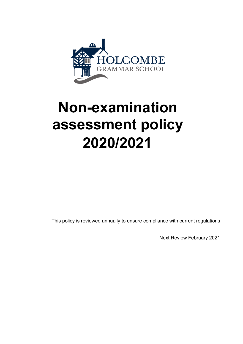

# **Non-examination assessment policy 2020/2021**

This policy is reviewed annually to ensure compliance with current regulations

Next Review February 2021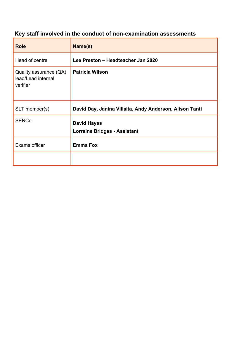## **Key staff involved in the conduct of non-examination assessments**

| <b>Role</b>                                              | Name(s)                                                   |
|----------------------------------------------------------|-----------------------------------------------------------|
| Head of centre                                           | Lee Preston - Headteacher Jan 2020                        |
| Quality assurance (QA)<br>lead/Lead internal<br>verifier | <b>Patricia Wilson</b>                                    |
| SLT member(s)                                            | David Day, Janina Villalta, Andy Anderson, Alison Tanti   |
| <b>SENCo</b>                                             | <b>David Hayes</b><br><b>Lorraine Bridges - Assistant</b> |
| Exams officer                                            | <b>Emma Fox</b>                                           |
|                                                          |                                                           |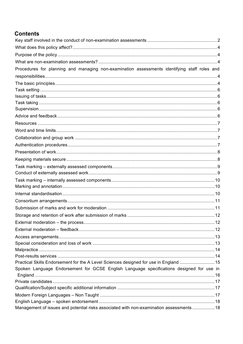## **Contents**

| Procedures for planning and managing non-examination assessments identifying staff roles and |  |
|----------------------------------------------------------------------------------------------|--|
|                                                                                              |  |
|                                                                                              |  |
|                                                                                              |  |
|                                                                                              |  |
|                                                                                              |  |
|                                                                                              |  |
|                                                                                              |  |
|                                                                                              |  |
|                                                                                              |  |
|                                                                                              |  |
|                                                                                              |  |
|                                                                                              |  |
|                                                                                              |  |
|                                                                                              |  |
|                                                                                              |  |
|                                                                                              |  |
|                                                                                              |  |
|                                                                                              |  |
|                                                                                              |  |
|                                                                                              |  |
|                                                                                              |  |
|                                                                                              |  |
|                                                                                              |  |
|                                                                                              |  |
|                                                                                              |  |
|                                                                                              |  |
|                                                                                              |  |
| Practical Skills Endorsement for the A Level Sciences designed for use in England  15        |  |
| Spoken Language Endorsement for GCSE English Language specifications designed for use in     |  |
|                                                                                              |  |
|                                                                                              |  |
|                                                                                              |  |
|                                                                                              |  |
| Management of issues and potential risks associated with non-examination assessments  18     |  |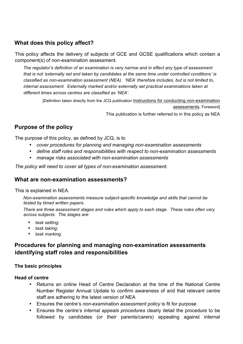## **What does this policy affect?**

This policy affects the delivery of subjects of GCE and GCSE qualifications which contain a component(s) of non-examination assessment.

*The regulator's definition of an examination is very narrow and in effect any type of assessment that is not 'externally set and taken by candidates at the same time under controlled conditions' is classified as non-examination assessment (NEA). 'NEA' therefore includes, but is not limited to, internal assessment. Externally marked and/or externally set practical examinations taken at different times across centres are classified as 'NEA'.* 

[Definition taken directly from the JCQ publication Instructions for conducting non-examination assessments*,* Foreword] This publication is further referred to in this policy as NEA

## **Purpose of the policy**

The purpose of this policy, as defined by JCQ, is to

- *cover procedures for planning and managing non-examination assessments*
- *define staff roles and responsibilities with respect to non-examination assessments*
- *manage risks associated with non-examination assessments*

*The policy will need to cover all types of non-examination assessment.* 

## **What are non-examination assessments?**

This is explained in NEA.

*Non-examination assessments measure subject-specific knowledge and skills that cannot be tested by timed written papers.* 

*There are three assessment stages and rules which apply to each stage. These rules often vary across subjects. The stages are:* 

- *task setting;*
- *task taking;*
- *task marking.*

## **Procedures for planning and managing non-examination assessments identifying staff roles and responsibilities**

#### **The basic principles**

#### **Head of centre**

- Returns an online Head of Centre Declaration at the time of the National Centre Number Register Annual Update to confirm awareness of and that relevant centre staff are adhering to the latest version of NEA
- Ensures the centre's *non-examination assessment policy* is fit for purpose
- Ensures the centre's *internal appeals procedures* clearly detail the procedure to be followed by candidates (or their parents/carers) appealing against internal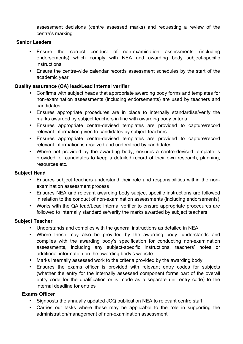assessment decisions (centre assessed marks) and requesting a review of the centre's marking

## **Senior Leaders**

- Ensure the correct conduct of non-examination assessments (including endorsements) which comply with NEA and awarding body subject-specific instructions
- Ensure the centre-wide calendar records assessment schedules by the start of the academic year

## **Quality assurance (QA) lead/Lead internal verifier**

- Confirms with subject heads that appropriate awarding body forms and templates for non-examination assessments (including endorsements) are used by teachers and candidates
- Ensures appropriate procedures are in place to internally standardise/verify the marks awarded by subject teachers in line with awarding body criteria
- Ensures appropriate centre-devised templates are provided to capture/record relevant information given to candidates by subject teachers
- Ensures appropriate centre-devised templates are provided to capture/record relevant information is received and understood by candidates
- Where not provided by the awarding body, ensures a centre-devised template is provided for candidates to keep a detailed record of their own research, planning, resources etc.

## **Subject Head**

- Ensures subject teachers understand their role and responsibilities within the nonexamination assessment process
- Ensures NEA and relevant awarding body subject specific instructions are followed in relation to the conduct of non-examination assessments (including endorsements)
- Works with the QA lead/Lead internal verifier to ensure appropriate procedures are followed to internally standardise/verify the marks awarded by subject teachers

## **Subject Teacher**

- Understands and complies with the general instructions as detailed in NEA
- Where these may also be provided by the awarding body, understands and complies with the awarding body's specification for conducting non-examination assessments, including any subject-specific instructions, teachers' notes or additional information on the awarding body's website
- Marks internally assessed work to the criteria provided by the awarding body
- Ensures the exams officer is provided with relevant entry codes for subjects (whether the entry for the internally assessed component forms part of the overall entry code for the qualification or is made as a separate unit entry code) to the internal deadline for entries

## **Exams Officer**

- Signposts the annually updated JCQ publication NEA to relevant centre staff
- Carries out tasks where these may be applicable to the role in supporting the administration/management of non-examination assessment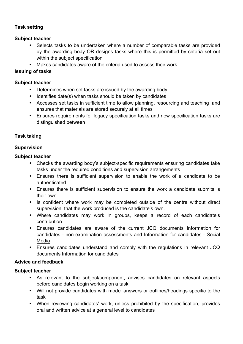## **Task setting**

## **Subject teacher**

- Selects tasks to be undertaken where a number of comparable tasks are provided by the awarding body OR designs tasks where this is permitted by criteria set out within the subject specification
- Makes candidates aware of the criteria used to assess their work

## **Issuing of tasks**

## **Subject teacher**

- Determines when set tasks are issued by the awarding body
- Identifies date(s) when tasks should be taken by candidates
- Accesses set tasks in sufficient time to allow planning, resourcing and teaching and ensures that materials are stored securely at all times
- Ensures requirements for legacy specification tasks and new specification tasks are distinguished between

## **Task taking**

## **Supervision**

## **Subject teacher**

- Checks the awarding body's subject-specific requirements ensuring candidates take tasks under the required conditions and supervision arrangements
- Ensures there is sufficient supervision to enable the work of a candidate to be authenticated
- Ensures there is sufficient supervision to ensure the work a candidate submits is their own
- Is confident where work may be completed outside of the centre without direct supervision, that the work produced is the candidate's own.
- Where candidates may work in groups, keeps a record of each candidate's contribution
- Ensures candidates are aware of the current JCQ documents Information for candidates - non-examination assessments and Information for candidates - Social Media
- Ensures candidates understand and comply with the regulations in relevant JCQ documents Information for candidates

## **Advice and feedback**

- As relevant to the subject/component, advises candidates on relevant aspects before candidates begin working on a task
- Will not provide candidates with model answers or outlines/headings specific to the task
- When reviewing candidates' work, unless prohibited by the specification, provides oral and written advice at a general level to candidates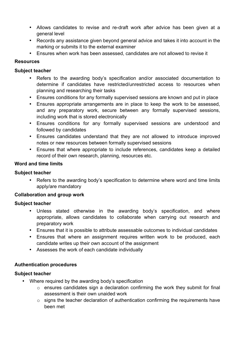- Allows candidates to revise and re-draft work after advice has been given at a general level
- Records any assistance given beyond general advice and takes it into account in the marking or submits it to the external examiner
- Ensures when work has been assessed, candidates are not allowed to revise it

## **Resources**

## **Subject teacher**

- Refers to the awarding body's specification and/or associated documentation to determine if candidates have restricted/unrestricted access to resources when planning and researching their tasks
- Ensures conditions for any formally supervised sessions are known and put in place
- Ensures appropriate arrangements are in place to keep the work to be assessed, and any preparatory work, secure between any formally supervised sessions, including work that is stored electronically
- Ensures conditions for any formally supervised sessions are understood and followed by candidates
- Ensures candidates understand that they are not allowed to introduce improved notes or new resources between formally supervised sessions
- Ensures that where appropriate to include references, candidates keep a detailed record of their own research, planning, resources etc.

## **Word and time limits**

## **Subject teacher**

Refers to the awarding body's specification to determine where word and time limits apply/are mandatory

## **Collaboration and group work**

## **Subject teacher**

- Unless stated otherwise in the awarding body's specification, and where appropriate, allows candidates to collaborate when carrying out research and preparatory work
- Ensures that it is possible to attribute assessable outcomes to individual candidates
- Ensures that where an assignment requires written work to be produced, each candidate writes up their own account of the assignment
- Assesses the work of each candidate individually

## **Authentication procedures**

- Where required by the awarding body's specification
	- o ensures candidates sign a declaration confirming the work they submit for final assessment is their own unaided work
	- $\circ$  signs the teacher declaration of authentication confirming the requirements have been met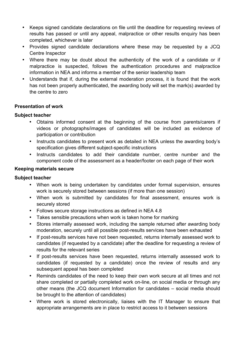- Keeps signed candidate declarations on file until the deadline for requesting reviews of results has passed or until any appeal, malpractice or other results enquiry has been completed, whichever is later
- Provides signed candidate declarations where these may be requested by a JCQ Centre Inspector
- Where there may be doubt about the authenticity of the work of a candidate or if malpractice is suspected, follows the authentication procedures and malpractice information in NEA and informs a member of the senior leadership team
- Understands that if, during the external moderation process, it is found that the work has not been properly authenticated, the awarding body will set the mark(s) awarded by the centre to zero

## **Presentation of work**

#### **Subject teacher**

- Obtains informed consent at the beginning of the course from parents/carers if videos or photographs/images of candidates will be included as evidence of participation or contribution
- Instructs candidates to present work as detailed in NEA unless the awarding body's specification gives different subject-specific instructions
- Instructs candidates to add their candidate number, centre number and the component code of the assessment as a header/footer on each page of their work

#### **Keeping materials secure**

- When work is being undertaken by candidates under formal supervision, ensures work is securely stored between sessions (if more than one session)
- When work is submitted by candidates for final assessment, ensures work is securely stored
- Follows secure storage instructions as defined in NEA 4.8
- Takes sensible precautions when work is taken home for marking
- Stores internally assessed work, including the sample returned after awarding body moderation, securely until all possible post-results services have been exhausted
- If post-results services have not been requested, returns internally assessed work to candidates (if requested by a candidate) after the deadline for requesting a review of results for the relevant series
- If post-results services have been requested, returns internally assessed work to candidates (if requested by a candidate) once the review of results and any subsequent appeal has been completed
- Reminds candidates of the need to keep their own work secure at all times and not share completed or partially completed work on-line, on social media or through any other means (the JCQ document Information for candidates – social media should be brought to the attention of candidates)
- Where work is stored electronically, liaises with the IT Manager to ensure that appropriate arrangements are in place to restrict access to it between sessions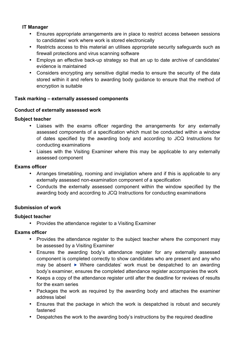## **IT Manager**

- Ensures appropriate arrangements are in place to restrict access between sessions to candidates' work where work is stored electronically
- Restricts access to this material an utilises appropriate security safeguards such as firewall protections and virus scanning software
- Employs an effective back-up strategy so that an up to date archive of candidates' evidence is maintained
- Considers encrypting any sensitive digital media to ensure the security of the data stored within it and refers to awarding body guidance to ensure that the method of encryption is suitable

## **Task marking – externally assessed components**

## **Conduct of externally assessed work**

#### **Subject teacher**

- Liaises with the exams officer regarding the arrangements for any externally assessed components of a specification which must be conducted within a window of dates specified by the awarding body and according to JCQ Instructions for conducting examinations
- Liaises with the Visiting Examiner where this may be applicable to any externally assessed component

#### **Exams officer**

- Arranges timetabling, rooming and invigilation where and if this is applicable to any externally assessed non-examination component of a specification
- Conducts the externally assessed component within the window specified by the awarding body and according to JCQ Instructions for conducting examinations

## **Submission of work**

## **Subject teacher**

• Provides the attendance register to a Visiting Examiner

## **Exams officer**

- Provides the attendance register to the subject teacher where the component may be assessed by a Visiting Examiner
- Ensures the awarding body's attendance register for any externally assessed component is completed correctly to show candidates who are present and any who may be absent  $\triangleright$  Where candidates' work must be despatched to an awarding body's examiner, ensures the completed attendance register accompanies the work
- Keeps a copy of the attendance register until after the deadline for reviews of results for the exam series
- Packages the work as required by the awarding body and attaches the examiner address label
- Ensures that the package in which the work is despatched is robust and securely fastened
- Despatches the work to the awarding body's instructions by the required deadline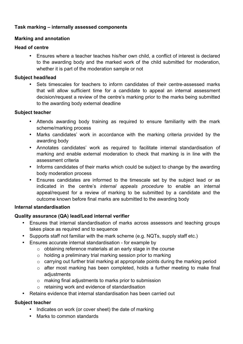## **Task marking – internally assessed components**

## **Marking and annotation**

#### **Head of centre**

• Ensures where a teacher teaches his/her own child, a conflict of interest is declared to the awarding body and the marked work of the child submitted for moderation, whether it is part of the moderation sample or not

#### **Subject head/lead**

• Sets timescales for teachers to inform candidates of their centre-assessed marks that will allow sufficient time for a candidate to appeal an internal assessment decision/request a review of the centre's marking prior to the marks being submitted to the awarding body external deadline

#### **Subject teacher**

- Attends awarding body training as required to ensure familiarity with the mark scheme/marking process
- Marks candidates' work in accordance with the marking criteria provided by the awarding body
- Annotates candidates' work as required to facilitate internal standardisation of marking and enable external moderation to check that marking is in line with the assessment criteria
- Informs candidates of their marks which could be subject to change by the awarding body moderation process
- Ensures candidates are informed to the timescale set by the subject lead or as indicated in the centre's *internal appeals procedure* to enable an internal appeal/request for a review of marking to be submitted by a candidate and the outcome known before final marks are submitted to the awarding body

## **Internal standardisation**

## **Quality assurance (QA) lead/Lead internal verifier**

- Ensures that internal standardisation of marks across assessors and teaching groups takes place as required and to sequence
- Supports staff not familiar with the mark scheme (e.g. NQTs, supply staff etc.)
- Ensures accurate internal standardisation for example by
	- $\circ$  obtaining reference materials at an early stage in the course
	- $\circ$  holding a preliminary trial marking session prior to marking
	- $\circ$  carrying out further trial marking at appropriate points during the marking period
	- o after most marking has been completed, holds a further meeting to make final adjustments
	- o making final adjustments to marks prior to submission
	- o retaining work and evidence of standardisation
- Retains evidence that internal standardisation has been carried out

- Indicates on work (or cover sheet) the date of marking
- Marks to common standards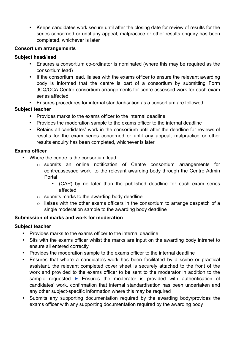• Keeps candidates work secure until after the closing date for review of results for the series concerned or until any appeal, malpractice or other results enquiry has been completed, whichever is later

## **Consortium arrangements**

## **Subject head/lead**

- Ensures a consortium co-ordinator is nominated (where this may be required as the consortium lead)
- If the consortium lead, liaises with the exams officer to ensure the relevant awarding body is informed that the centre is part of a consortium by submitting Form JCQ/CCA Centre consortium arrangements for cenre-assessed work for each exam series affected
- Ensures procedures for internal standardisation as a consortium are followed

## **Subject teacher**

- Provides marks to the exams officer to the internal deadline
- Provides the moderation sample to the exams officer to the internal deadline
- Retains all candidates' work in the consortium until after the deadline for reviews of results for the exam series concerned or until any appeal, malpractice or other results enquiry has been completed, whichever is later

## **Exams officer**

- Where the centre is the consortium lead
	- o submits an online notification of Centre consortium arrangements for centreassessed work to the relevant awarding body through the Centre Admin Portal
		- § (CAP) by no later than the published deadline for each exam series affected
	- o submits marks to the awarding body deadline
	- $\circ$  liaises with the other exams officers in the consortium to arrange despatch of a single moderation sample to the awarding body deadline

## **Submission of marks and work for moderation**

- Provides marks to the exams officer to the internal deadline
- Sits with the exams officer whilst the marks are input on the awarding body intranet to ensure all entered correctly
- Provides the moderation sample to the exams officer to the internal deadline
- Ensures that where a candidate's work has been facilitated by a scribe or practical assistant, the relevant completed cover sheet is securely attached to the front of the work and provided to the exams officer to be sent to the moderator in addition to the sample requested  $\triangleright$  Ensures the moderator is provided with authentication of candidates' work, confirmation that internal standardisation has been undertaken and any other subject-specific information where this may be required
- Submits any supporting documentation required by the awarding body/provides the exams officer with any supporting documentation required by the awarding body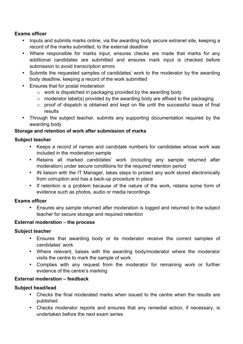## **Exams officer**

- Inputs and submits marks online, via the awarding body secure extranet site, keeping a record of the marks submitted, to the external deadline
- Where responsible for marks input, ensures checks are made that marks for any additional candidates are submitted and ensures mark input is checked before submission to avoid transcription errors
- Submits the requested samples of candidates' work to the moderator by the awarding body deadline, keeping a record of the work submitted
- Ensures that for postal moderation
	- o work is dispatched in packaging provided by the awarding body
	- $\circ$  moderator label(s) provided by the awarding body are affixed to the packaging
	- o proof of dispatch is obtained and kept on file until the successful issue of final results
- Through the subject teacher, submits any supporting documentation required by the awarding body

## **Storage and retention of work after submission of marks**

## **Subject teacher**

- Keeps a record of names and candidate numbers for candidates whose work was included in the moderation sample
- Retains all marked candidates' work (including any sample returned after moderation) under secure conditions for the required retention period
- IN liaison with the IT Manager, takes steps to protect any work stored electronically from corruption and has a back-up procedure in place
- If retention is a problem because of the nature of the work, retains some form of evidence such as photos, audio or media recordings

## **Exams officer**

• Ensures any sample returned after moderation is logged and returned to the subject teacher for secure storage and required retention

## **External moderation – the process**

## **Subject teacher**

- Ensures that awarding body or its moderator receive the correct samples of candidates' work
- Where relevant, liaises with the awarding body/moderator where the moderator visits the centre to mark the sample of work
- Complies with any request from the moderator for remaining work or further evidence of the centre's marking

## **External moderation – feedback**

- Checks the final moderated marks when issued to the centre when the results are published
- Checks moderator reports and ensures that any remedial action, if necessary, is undertaken before the next exam series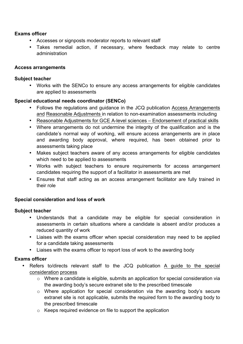## **Exams officer**

- Accesses or signposts moderator reports to relevant staff
- Takes remedial action, if necessary, where feedback may relate to centre administration

## **Access arrangements**

## **Subject teacher**

• Works with the SENCo to ensure any access arrangements for eligible candidates are applied to assessments

## **Special educational needs coordinator (SENCo)**

- Follows the regulations and guidance in the JCQ publication Access Arrangements and Reasonable Adjustments in relation to non-examination assessments including
- Reasonable Adjustments for GCE A-level sciences Endorsement of practical skills
- Where arrangements do not undermine the integrity of the qualification and is the candidate's normal way of working, will ensure access arrangements are in place and awarding body approval, where required, has been obtained prior to assessments taking place
- Makes subject teachers aware of any access arrangements for eligible candidates which need to be applied to assessments
- Works with subject teachers to ensure requirements for access arrangement candidates requiring the support of a facilitator in assessments are met
- Ensures that staff acting as an access arrangement facilitator are fully trained in their role

## **Special consideration and loss of work**

## **Subject teacher**

- Understands that a candidate may be eligible for special consideration in assessments in certain situations where a candidate is absent and/or produces a reduced quantity of work
- Liaises with the exams officer when special consideration may need to be applied for a candidate taking assessments
- Liaises with the exams officer to report loss of work to the awarding body

## **Exams officer**

- Refers to/directs relevant staff to the JCQ publication A guide to the special consideration process
	- o Where a candidate is eligible, submits an application for special consideration via the awarding body's secure extranet site to the prescribed timescale
	- o Where application for special consideration via the awarding body's secure extranet site is not applicable, submits the required form to the awarding body to the prescribed timescale
	- o Keeps required evidence on file to support the application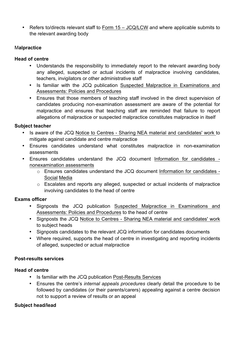• Refers to/directs relevant staff to Form 15 – JCQ/LCW and where applicable submits to the relevant awarding body

## M**alpractice**

## **Head of centre**

- Understands the responsibility to immediately report to the relevant awarding body any alleged, suspected or actual incidents of malpractice involving candidates, teachers, invigilators or other administrative staff
- Is familiar with the JCQ publication Suspected Malpractice in Examinations and Assessments: Policies and Procedures
- Ensures that those members of teaching staff involved in the direct supervision of candidates producing non-examination assessment are aware of the potential for malpractice and ensures that teaching staff are reminded that failure to report allegations of malpractice or suspected malpractice constitutes malpractice in itself

## **Subject teacher**

- Is aware of the JCQ Notice to Centres Sharing NEA material and candidates' work to mitigate against candidate and centre malpractice
- Ensures candidates understand what constitutes malpractice in non-examination assessments
- Ensures candidates understand the JCQ document Information for candidates nonexamination assessments
	- o Ensures candidates understand the JCQ document Information for candidates Social Media
	- o Escalates and reports any alleged, suspected or actual incidents of malpractice involving candidates to the head of centre

## **Exams officer**

- Signposts the JCQ publication Suspected Malpractice in Examinations and Assessments: Policies and Procedures to the head of centre
- Signposts the JCQ Notice to Centres Sharing NEA material and candidates' work to subject heads
- Signposts candidates to the relevant JCQ information for candidates documents
- Where required, supports the head of centre in investigating and reporting incidents of alleged, suspected or actual malpractice

## **Post-results services**

## **Head of centre**

- Is familiar with the JCQ publication Post-Results Services
- Ensures the centre's *internal appeals procedures* clearly detail the procedure to be followed by candidates (or their parents/carers) appealing against a centre decision not to support a review of results or an appeal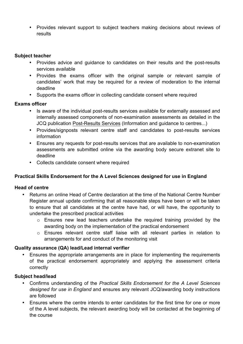• Provides relevant support to subject teachers making decisions about reviews of results

#### **Subject teacher**

- Provides advice and guidance to candidates on their results and the post-results services available
- Provides the exams officer with the original sample or relevant sample of candidates' work that may be required for a review of moderation to the internal deadline
- Supports the exams officer in collecting candidate consent where required

## **Exams officer**

- Is aware of the individual post-results services available for externally assessed and internally assessed components of non-examination assessments as detailed in the JCQ publication Post-Results Services (Information and guidance to centres...)
- Provides/signposts relevant centre staff and candidates to post-results services information
- Ensures any requests for post-results services that are available to non-examination assessments are submitted online via the awarding body secure extranet site to deadline
- Collects candidate consent where required

## **Practical Skills Endorsement for the A Level Sciences designed for use in England**

## **Head of centre**

- Returns an online Head of Centre declaration at the time of the National Centre Number Register annual update confirming that all reasonable steps have been or will be taken to ensure that all candidates at the centre have had, or will have, the opportunity to undertake the prescribed practical activities
	- o Ensures new lead teachers undertake the required training provided by the awarding body on the implementation of the practical endorsement
	- o Ensures relevant centre staff liaise with all relevant parties in relation to arrangements for and conduct of the monitoring visit

## **Quality assurance (QA) lead/Lead internal verifier**

• Ensures the appropriate arrangements are in place for implementing the requirements of the practical endorsement appropriately and applying the assessment criteria correctly

- Confirms understanding of the *Practical Skills Endorsement for the A Level Sciences designed for use in England* and ensures any relevant JCQ/awarding body instructions are followed
- Ensures where the centre intends to enter candidates for the first time for one or more of the A level subjects, the relevant awarding body will be contacted at the beginning of the course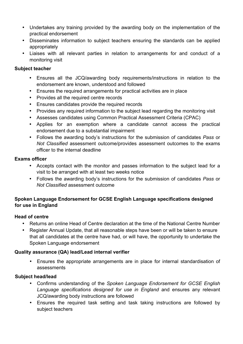- Undertakes any training provided by the awarding body on the implementation of the practical endorsement
- Disseminates information to subject teachers ensuring the standards can be applied appropriately
- Liaises with all relevant parties in relation to arrangements for and conduct of a monitoring visit

## **Subject teacher**

- Ensures all the JCQ/awarding body requirements/instructions in relation to the endorsement are known, understood and followed
- Ensures the required arrangements for practical activities are in place
- Provides all the required centre records
- Ensures candidates provide the required records
- Provides any required information to the subject lead regarding the monitoring visit
- Assesses candidates using Common Practical Assessment Criteria (CPAC)
- Applies for an exemption where a candidate cannot access the practical endorsement due to a substantial impairment
- Follows the awarding body's instructions for the submission of candidates *Pass* or *Not Classified* assessment outcome/provides assessment outcomes to the exams officer to the internal deadline

#### **Exams officer**

- Accepts contact with the monitor and passes information to the subject lead for a visit to be arranged with at least two weeks notice
- Follows the awarding body's instructions for the submission of candidates *Pass* or *Not Classified* assessment outcome

## **Spoken Language Endorsement for GCSE English Language specifications designed for use in England**

## **Head of centre**

- Returns an online Head of Centre declaration at the time of the National Centre Number
- Register Annual Update, that all reasonable steps have been or will be taken to ensure that all candidates at the centre have had, or will have, the opportunity to undertake the Spoken Language endorsement

## **Quality assurance (QA) lead/Lead internal verifier**

• Ensures the appropriate arrangements are in place for internal standardisation of assessments

- Confirms understanding of the *Spoken Language Endorsement for GCSE English Language specifications designed for use in England* and ensures any relevant JCQ/awarding body instructions are followed
- Ensures the required task setting and task taking instructions are followed by subject teachers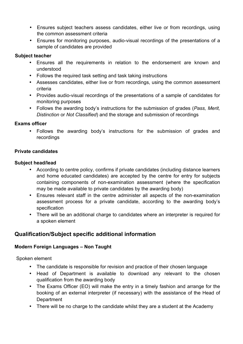- Ensures subject teachers assess candidates, either live or from recordings, using the common assessment criteria
- Ensures for monitoring purposes, audio-visual recordings of the presentations of a sample of candidates are provided

## **Subject teacher**

- Ensures all the requirements in relation to the endorsement are known and understood
- Follows the required task setting and task taking instructions
- Assesses candidates, either live or from recordings, using the common assessment criteria
- Provides audio-visual recordings of the presentations of a sample of candidates for monitoring purposes
- Follows the awarding body's instructions for the submission of grades (*Pass, Merit, Distinction* or *Not Classified*) and the storage and submission of recordings

## **Exams officer**

• Follows the awarding body's instructions for the submission of grades and recordings

#### **Private candidates**

#### **Subject head/lead**

- According to centre policy, confirms if private candidates (including distance learners and home educated candidates) are accepted by the centre for entry for subjects containing components of non-examination assessment (where the specification may be made available to private candidates by the awarding body)
- Ensures relevant staff in the centre administer all aspects of the non-examination assessment process for a private candidate, according to the awarding body's specification
- There will be an additional charge to candidates where an interpreter is required for a spoken element

## **Qualification/Subject specific additional information**

## **Modern Foreign Languages – Non Taught**

Spoken element

- The candidate is responsible for revision and practice of their chosen language
- Head of Department is available to download any relevant to the chosen qualification from the awarding body
- The Exams Officer (EO) will make the entry in a timely fashion and arrange for the booking of an external interpreter (if necessary) with the assistance of the Head of **Department**
- There will be no charge to the candidate whilst they are a student at the Academy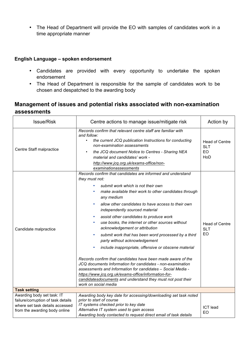• The Head of Department will provide the EO with samples of candidates work in a time appropriate manner

## **English Language – spoken endorsement**

- Candidates are provided with every opportunity to undertake the spoken endorsement
- The Head of Department is responsible for the sample of candidates work to be chosen and despatched to the awarding body

## **Management of issues and potential risks associated with non-examination assessments**

| Issue/Risk                                                                                                                           | Centre actions to manage issue/mitigate risk                                                                                                                                                                                                                                                                                                                                                                                                                                                                                                                                                                                                                                                                                                                                                                                                                                                                                                                      | Action by                                 |
|--------------------------------------------------------------------------------------------------------------------------------------|-------------------------------------------------------------------------------------------------------------------------------------------------------------------------------------------------------------------------------------------------------------------------------------------------------------------------------------------------------------------------------------------------------------------------------------------------------------------------------------------------------------------------------------------------------------------------------------------------------------------------------------------------------------------------------------------------------------------------------------------------------------------------------------------------------------------------------------------------------------------------------------------------------------------------------------------------------------------|-------------------------------------------|
| Centre Staff malpractice                                                                                                             | Records confirm that relevant centre staff are familiar with<br>and follow:<br>the current JCQ publication Instructions for conducting<br>non-examination assessments<br>the JCQ document Notice to Centres - Sharing NEA<br>material and candidates' work -<br>http://www.jcq.org.uk/exams-office/non-<br>examinationassessments                                                                                                                                                                                                                                                                                                                                                                                                                                                                                                                                                                                                                                 | <b>Head of Centre</b><br>SLT<br>EO<br>HoD |
| Candidate malpractice                                                                                                                | Records confirm that candidates are informed and understand<br>they must not:<br>submit work which is not their own<br>$\bullet$<br>make available their work to other candidates through<br>٠<br>any medium<br>allow other candidates to have access to their own<br>٠<br>independently sourced material<br>assist other candidates to produce work<br>٠<br>use books, the internet or other sources without<br>٠<br>acknowledgement or attribution<br>submit work that has been word processed by a third<br>٠<br>party without acknowledgement<br>include inappropriate, offensive or obscene material<br>$\bullet$<br>Records confirm that candidates have been made aware of the<br>JCQ documents Information for candidates - non-examination<br>assessments and Information for candidates - Social Media -<br>https://www.jcq.org.uk/exams-office/information-for-<br>candidatesdocuments and understand they must not post their<br>work on social media | <b>Head of Centre</b><br><b>SLT</b><br>EO |
| <b>Task setting</b>                                                                                                                  |                                                                                                                                                                                                                                                                                                                                                                                                                                                                                                                                                                                                                                                                                                                                                                                                                                                                                                                                                                   |                                           |
| Awarding body set task: IT<br>failure/corruption of task details<br>where set task details accessed<br>from the awarding body online | Awarding body key date for accessing/downloading set task noted<br>prior to start of course<br>IT systems checked prior to key date<br>Alternative IT system used to gain access<br>Awarding body contacted to request direct email of task details                                                                                                                                                                                                                                                                                                                                                                                                                                                                                                                                                                                                                                                                                                               | <b>ICT</b> lead<br>EO                     |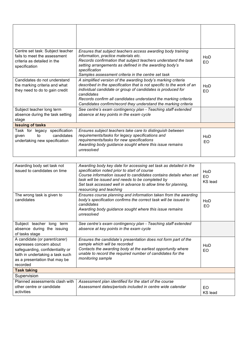| Centre set task: Subject teacher<br>fails to meet the assessment<br>criteria as detailed in the<br>specification | Ensures that subject teachers access awarding body training<br>information, practice materials etc.<br>Records confirmation that subject teachers understand the task<br>setting arrangements as defined in the awarding body's<br>specification<br>Samples assessment criteria in the centre set task                                                 | HoD<br>FΟ. |
|------------------------------------------------------------------------------------------------------------------|--------------------------------------------------------------------------------------------------------------------------------------------------------------------------------------------------------------------------------------------------------------------------------------------------------------------------------------------------------|------------|
| Candidates do not understand<br>the marking criteria and what<br>they need to do to gain credit                  | A simplified version of the awarding body's marking criteria<br>described in the specification that is not specific to the work of an<br>individual candidate or group of candidates is produced for<br>candidates<br>Records confirm all candidates understand the marking criteria<br>Candidates confirm/record they understand the marking criteria | HoD<br>EO. |
| Subject teacher long term<br>absence during the task setting<br>stage                                            | See centre's exam contingency plan - Teaching staff extended<br>absence at key points in the exam cycle                                                                                                                                                                                                                                                |            |
| <b>Issuing of tasks</b>                                                                                          |                                                                                                                                                                                                                                                                                                                                                        |            |
| Task for legacy specification<br>to<br>candidates<br>qiven<br>undertaking new specification                      | Ensures subject teachers take care to distinguish between<br>requirements/tasks for legacy specifications and<br>requirements/tasks for new specifications<br>Awarding body guidance sought where this issue remains<br>unresolved                                                                                                                     | HoD<br>EO  |

| Awarding body set task not<br>issued to candidates on time                                                                                                                    | Awarding body key date for accessing set task as detailed in the<br>specification noted prior to start of course<br>Course information issued to candidates contains details when set<br>task will be issued and needs to be completed by<br>Set task accessed well in advance to allow time for planning,<br>resourcing and teaching | HoD<br>EO<br><b>KS</b> lead      |
|-------------------------------------------------------------------------------------------------------------------------------------------------------------------------------|---------------------------------------------------------------------------------------------------------------------------------------------------------------------------------------------------------------------------------------------------------------------------------------------------------------------------------------|----------------------------------|
| The wrong task is given to<br>candidates                                                                                                                                      | Ensures course planning and information taken from the awarding<br>body's specification confirms the correct task will be issued to<br>candidates<br>Awarding body guidance sought where this issue remains<br>unresolved                                                                                                             | HoD<br>EO                        |
| Subject teacher long term<br>absence during the issuing<br>of tasks stage                                                                                                     | See centre's exam contingency plan - Teaching staff extended<br>absence at key points in the exam cycle                                                                                                                                                                                                                               |                                  |
| A candidate (or parent/carer)<br>expresses concern about<br>safeguarding, confidentiality or<br>faith in undertaking a task such<br>as a presentation that may be<br>recorded | Ensures the candidate's presentation does not form part of the<br>sample which will be recorded<br>Contacts the awarding body at the earliest opportunity where<br>unable to record the required number of candidates for the<br>monitoring sample                                                                                    | HoD<br>EO                        |
| <b>Task taking</b>                                                                                                                                                            |                                                                                                                                                                                                                                                                                                                                       |                                  |
| Supervision                                                                                                                                                                   |                                                                                                                                                                                                                                                                                                                                       |                                  |
| Planned assessments clash with                                                                                                                                                | Assessment plan identified for the start of the course                                                                                                                                                                                                                                                                                |                                  |
| other centre or candidate<br>activities                                                                                                                                       | Assessment dates/periods included in centre wide calendar                                                                                                                                                                                                                                                                             | F <sub>O</sub><br><b>KS</b> lead |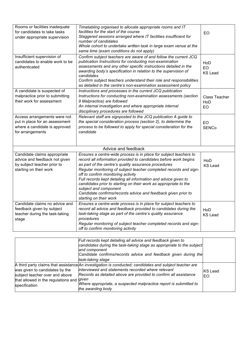| Rooms or facilities inadequate<br>for candidates to take tasks<br>under appropriate supervision                        | Timetabling organised to allocate appropriate rooms and IT<br>facilities for the start of the course<br>Staggered sessions arranged where IT facilities insufficient for<br>number of candidates<br>Whole cohort to undertake written task in large exam venue at the<br>same time (exam conditions do not apply)                                                                                                                                                                                                                                                   | EO                                 |
|------------------------------------------------------------------------------------------------------------------------|---------------------------------------------------------------------------------------------------------------------------------------------------------------------------------------------------------------------------------------------------------------------------------------------------------------------------------------------------------------------------------------------------------------------------------------------------------------------------------------------------------------------------------------------------------------------|------------------------------------|
| Insufficient supervision of<br>candidates to enable work to be<br>authenticated                                        | Confirm subject teachers are aware of and follow the current JCQ<br>publication Instructions for conducting non-examination<br>assessments and any other specific instructions detailed in the<br>awarding body's specification in relation to the supervision of<br>candidates<br>Confirm subject teachers understand their role and responsibilities<br>as detailed in the centre's non-examination assessment policy                                                                                                                                             | HoD<br>EO<br><b>KS Lead</b>        |
| A candidate is suspected of<br>malpractice prior to submitting<br>their work for assessment                            | Instructions and processes in the current JCQ publication<br>Instructions for conducting non-examination assessments (section<br>9 Malpractice) are followed<br>An internal investigation and where appropriate internal<br>disciplinary procedures are followed                                                                                                                                                                                                                                                                                                    | <b>Class Teacher</b><br>HoD<br>FΟ. |
| Access arrangements were not<br>put in place for an assessment<br>where a candidate is approved<br>for arrangements    | Relevant staff are signposted to the JCQ publication A guide to<br>the special consideration process (section 2), to determine the<br>process to be followed to apply for special consideration for the<br>candidate                                                                                                                                                                                                                                                                                                                                                | EO<br><b>SENCo</b>                 |
|                                                                                                                        | Advice and feedback                                                                                                                                                                                                                                                                                                                                                                                                                                                                                                                                                 |                                    |
| Candidate claims appropriate<br>advice and feedback not given<br>by subject teacher prior to<br>starting on their work | Ensures a centre-wide process is in place for subject teachers to<br>record all information provided to candidates before work begins<br>as part of the centre's quality assurance procedures<br>Regular monitoring of subject teacher completed records and sign-<br>off to confirm monitoring activity<br>Full records kept detailing all information and advice given to<br>candidates prior to starting on their work as appropriate to the<br>subject and component<br>Candidate confirms/records advice and feedback given prior to<br>starting on their work | HoD<br><b>KS Lead</b>              |
| Candidate claims no advice and<br>feedback given by subject<br>teacher during the task-taking<br>stage                 | Ensures a centre-wide process is in place for subject teachers to<br>record all advice and feedback provided to candidates during the<br>task-taking stage as part of the centre's quality assurance<br>procedures<br>Regular monitoring of subject teacher completed records and sign-<br>off to confirm monitoring activity                                                                                                                                                                                                                                       | HoD<br><b>KS Lead</b>              |

|                                                                                                                          | Full records kept detailing all advice and feedback given to<br>candidates during the task-taking stage as appropriate to the subject<br>and component<br>Candidate confirms/records advice and feedback given during the<br>task-taking stage                                                                                          |                      |
|--------------------------------------------------------------------------------------------------------------------------|-----------------------------------------------------------------------------------------------------------------------------------------------------------------------------------------------------------------------------------------------------------------------------------------------------------------------------------------|----------------------|
| was given to candidates by the<br>subject teacher over and above<br>that allowed in the regulations and<br>specification | $A$ third party claims that assistance $An$ investigation is conducted; candidates and subject teacher are<br>interviewed and statements recorded where relevant<br>Records as detailed above are provided to confirm all assistance<br>given<br>Where appropriate, a suspected malpractice report is submitted to<br>the awarding body | <b>KS Lead</b><br>EO |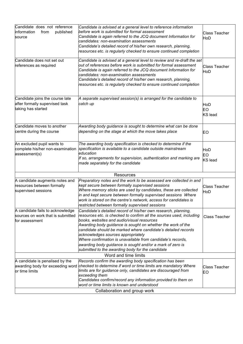| Candidate does not reference<br>information<br>from<br>published<br>source              | Candidate is advised at a general level to reference information<br>before work is submitted for formal assessment<br>Candidate is again referred to the JCQ document Information for<br>candidates: non-examination assessments<br>Candidate's detailed record of his/her own research, planning,<br>resources etc. is regularly checked to ensure continued completion                                                                                                                                                                   | <b>Class Teacher</b><br>HoD |
|-----------------------------------------------------------------------------------------|--------------------------------------------------------------------------------------------------------------------------------------------------------------------------------------------------------------------------------------------------------------------------------------------------------------------------------------------------------------------------------------------------------------------------------------------------------------------------------------------------------------------------------------------|-----------------------------|
| Candidate does not set out<br>references as required                                    | Candidate is advised at a general level to review and re-draft the set<br>out of references before work is submitted for formal assessment<br>Candidate is again referred to the JCQ document Information for<br>candidates: non-examination assessments<br>Candidate's detailed record of his/her own research, planning,<br>resources etc. is regularly checked to ensure continued completion                                                                                                                                           | <b>Class Teacher</b><br>HoD |
| Candidate joins the course late<br>after formally supervised task<br>taking has started | A separate supervised session(s) is arranged for the candidate to<br>catch up                                                                                                                                                                                                                                                                                                                                                                                                                                                              | HoD<br>EO<br><b>KS</b> lead |
| Candidate moves to another<br>centre during the course                                  | Awarding body guidance is sought to determine what can be done<br>depending on the stage at which the move takes place                                                                                                                                                                                                                                                                                                                                                                                                                     | EO                          |
| An excluded pupil wants to<br>complete his/her non-examination<br>assessment(s)         | The awarding body specification is checked to determine if the<br>specification is available to a candidate outside mainstream<br>education<br>If so, arrangements for supervision, authentication and marking are<br>made separately for the candidate                                                                                                                                                                                                                                                                                    | HoD<br>EO<br>KS lead        |
|                                                                                         | Resources                                                                                                                                                                                                                                                                                                                                                                                                                                                                                                                                  |                             |
| A candidate augments notes and<br>resources between formally<br>supervised sessions     | Preparatory notes and the work to be assessed are collected in and<br>kept secure between formally supervised sessions<br>Where memory sticks are used by candidates, these are collected<br>in and kept secure between formally supervised sessions Where<br>work is stored on the centre's network, access for candidates is<br>restricted between formally supervised sessions                                                                                                                                                          | <b>Class Teacher</b><br>HoD |
| A candidate fails to acknowledge<br>sources on work that is submitted<br>for assessment | Candidate's detailed record of his/her own research, planning,<br>resources etc. is checked to confirm all the sources used, including<br>books, websites and audio/visual resources<br>Awarding body guidance is sought on whether the work of the<br>candidate should be marked where candidate's detailed records<br>acknowledges sources appropriately<br>Where confirmation is unavailable from candidate's records,<br>awarding body guidance is sought and/or a mark of zero is<br>submitted to the awarding body for the candidate | <b>Class Teacher</b>        |
|                                                                                         | Word and time limits                                                                                                                                                                                                                                                                                                                                                                                                                                                                                                                       |                             |
| A candidate is penalised by the<br>awarding body for exceeding word<br>or time limits   | Records confirm the awarding body specification has been<br>checked to determine if word or time limits are mandatory Where<br>limits are for guidance only, candidates are discouraged from<br>exceeding them<br>Candidates confirm/record any information provided to them on                                                                                                                                                                                                                                                            | <b>Class Teacher</b><br>EO  |
|                                                                                         | word or time limits is known and understood                                                                                                                                                                                                                                                                                                                                                                                                                                                                                                |                             |
|                                                                                         | Collaboration and group work                                                                                                                                                                                                                                                                                                                                                                                                                                                                                                               |                             |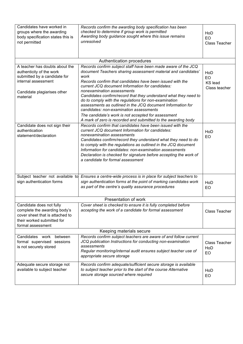| Candidates have worked in<br>groups where the awarding<br>body specification states this is<br>not permitted                                                 | Records confirm the awarding body specification has been<br>checked to determine if group work is permitted<br>Awarding body guidance sought where this issue remains<br>unresolved                                                                                                                                                                                                                                                                                                                                                                                                                                                                  | HoD<br>EO<br><b>Class Teacher</b>            |
|--------------------------------------------------------------------------------------------------------------------------------------------------------------|------------------------------------------------------------------------------------------------------------------------------------------------------------------------------------------------------------------------------------------------------------------------------------------------------------------------------------------------------------------------------------------------------------------------------------------------------------------------------------------------------------------------------------------------------------------------------------------------------------------------------------------------------|----------------------------------------------|
|                                                                                                                                                              | Authentication procedures                                                                                                                                                                                                                                                                                                                                                                                                                                                                                                                                                                                                                            |                                              |
| A teacher has doubts about the<br>authenticity of the work<br>submitted by a candidate for<br>internal assessment<br>Candidate plagiarises other<br>material | Records confirm subject staff have been made aware of the JCQ<br>document Teachers sharing assessment material and candidates'<br>work<br>Records confirm that candidates have been issued with the<br>current JCQ document Information for candidates:<br>nonexamination assessments<br>Candidates confirm/record that they understand what they need to<br>do to comply with the regulations for non-examination<br>assessments as outlined in the JCQ document Information for<br>candidates: non-examination assessments<br>The candidate's work is not accepted for assessment<br>A mark of zero is recorded and submitted to the awarding body | HoD<br>EO<br><b>KS</b> lead<br>Class teacher |
| Candidate does not sign their<br>authentication<br>statement/declaration                                                                                     | Records confirm that candidates have been issued with the<br>current JCQ document Information for candidates:<br>nonexamination assessments<br>Candidates confirm/record they understand what they need to do<br>to comply with the regulations as outlined in the JCQ document<br>Information for candidates: non-examination assessments<br>Declaration is checked for signature before accepting the work of<br>a candidate for formal assessment                                                                                                                                                                                                 | HoD<br>EO                                    |
| sign authentication forms                                                                                                                                    | Subject teacher not available to Ensures a centre-wide process is in place for subject teachers to<br>sign authentication forms at the point of marking candidates work<br>as part of the centre's quality assurance procedures                                                                                                                                                                                                                                                                                                                                                                                                                      | HoD<br>EO                                    |
|                                                                                                                                                              | Presentation of work                                                                                                                                                                                                                                                                                                                                                                                                                                                                                                                                                                                                                                 |                                              |
| Candidate does not fully<br>complete the awarding body's<br>cover sheet that is attached to<br>their worked submitted for<br>formal assessment               | Cover sheet is checked to ensure it is fully completed before<br>accepting the work of a candidate for formal assessment                                                                                                                                                                                                                                                                                                                                                                                                                                                                                                                             | Class Teacher                                |
| Keeping materials secure                                                                                                                                     |                                                                                                                                                                                                                                                                                                                                                                                                                                                                                                                                                                                                                                                      |                                              |
| Candidates work<br>between<br>formal supervised sessions<br>is not securely stored                                                                           | Records confirm subject teachers are aware of and follow current<br>JCQ publication Instructions for conducting non-examination<br>assessments<br>Regular monitoring/internal audit ensures subject teacher use of<br>appropriate secure storage                                                                                                                                                                                                                                                                                                                                                                                                     | Class Teacher<br>HoD<br>EO                   |
| Adequate secure storage not<br>available to subject teacher                                                                                                  | Records confirm adequate/sufficient secure storage is available<br>to subject teacher prior to the start of the course Alternative<br>secure storage sourced where required                                                                                                                                                                                                                                                                                                                                                                                                                                                                          | HoD<br>EO                                    |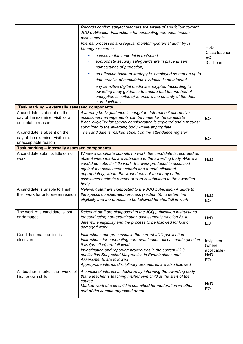|                                                                                         | Records confirm subject teachers are aware of and follow current<br>JCQ publication Instructions for conducting non-examination<br>assessments<br>Internal processes and regular monitoring/internal audit by IT<br>Manager ensures:<br>access to this material is restricted<br>appropriate security safeguards are in place (insert<br>names/types of protection)<br>an effective back-up strategy is employed so that an up to<br>date archive of candidates' evidence is maintained<br>any sensitive digital media is encrypted (according to<br>awarding body guidance to ensure that the method of<br>encryption is suitable) to ensure the security of the data<br>stored within it | HoD<br>Class teacher<br>EO<br><b>ICT Lead</b>            |
|-----------------------------------------------------------------------------------------|--------------------------------------------------------------------------------------------------------------------------------------------------------------------------------------------------------------------------------------------------------------------------------------------------------------------------------------------------------------------------------------------------------------------------------------------------------------------------------------------------------------------------------------------------------------------------------------------------------------------------------------------------------------------------------------------|----------------------------------------------------------|
| Task marking - externally assessed components                                           |                                                                                                                                                                                                                                                                                                                                                                                                                                                                                                                                                                                                                                                                                            |                                                          |
| A candidate is absent on the<br>day of the examiner visit for an<br>acceptable reason   | Awarding body guidance is sought to determine if alternative<br>assessment arrangements can be made for the candidate<br>If not, eligibility for special consideration is explored and a request<br>submitted to the awarding body where appropriate                                                                                                                                                                                                                                                                                                                                                                                                                                       | EO                                                       |
| A candidate is absent on the<br>day of the examiner visit for an<br>unacceptable reason | The candidate is marked absent on the attendance register                                                                                                                                                                                                                                                                                                                                                                                                                                                                                                                                                                                                                                  | EO                                                       |
| Task marking - internally assessed components                                           |                                                                                                                                                                                                                                                                                                                                                                                                                                                                                                                                                                                                                                                                                            |                                                          |
| A candidate submits little or no<br>work                                                | Where a candidate submits no work, the candidate is recorded as<br>absent when marks are submitted to the awarding body Where a<br>candidate submits little work, the work produced is assessed<br>against the assessment criteria and a mark allocated<br>appropriately; where the work does not meet any of the<br>assessment criteria a mark of zero is submitted to the awarding<br>body                                                                                                                                                                                                                                                                                               | HoD                                                      |
| A candidate is unable to finish<br>their work for unforeseen reason                     | Relevant staff are signposted to the JCQ publication A guide to<br>the special consideration process (section 5), to determine<br>eligibility and the process to be followed for shortfall in work                                                                                                                                                                                                                                                                                                                                                                                                                                                                                         | HoD<br>EO                                                |
| The work of a candidate is lost<br>or damaged                                           | Relevant staff are signposted to the JCQ publication Instructions<br>for conducting non-examination assessments (section 8), to<br>determine eligibility and the process to be followed for lost or<br>damaged work                                                                                                                                                                                                                                                                                                                                                                                                                                                                        | HoD<br><b>EO</b>                                         |
| Candidate malpractice is<br>discovered                                                  | Instructions and processes in the current JCQ publication<br>Instructions for conducting non-examination assessments (section<br>9 Malpractice) are followed<br>Investigation and reporting procedures in the current JCQ<br>publication Suspected Malpractice in Examinations and<br>Assessments are followed<br>Appropriate internal disciplinary procedures are also followed                                                                                                                                                                                                                                                                                                           | Invigilator<br>(where<br>applicable)<br>HoD<br><b>EO</b> |
| A teacher marks the work of<br>his/her own child                                        | A conflict of interest is declared by informing the awarding body<br>that a teacher is teaching his/her own child at the start of the<br>course<br>Marked work of said child is submitted for moderation whether<br>part of the sample requested or not                                                                                                                                                                                                                                                                                                                                                                                                                                    | HoD<br>EO                                                |